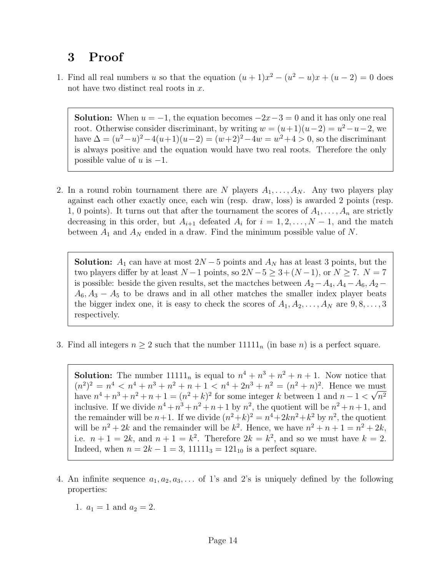## 3 Proof

1. Find all real numbers u so that the equation  $(u + 1)x^2 - (u^2 - u)x + (u - 2) = 0$  does not have two distinct real roots in x.

**Solution:** When  $u = -1$ , the equation becomes  $-2x-3=0$  and it has only one real root. Otherwise consider discriminant, by writing  $w = (u+1)(u-2) = u^2 - u - 2$ , we have  $\Delta = (u^2 - u)^2 - 4(u+1)(u-2) = (w+2)^2 - 4w = w^2 + 4 > 0$ , so the discriminant is always positive and the equation would have two real roots. Therefore the only possible value of  $u$  is  $-1$ .

2. In a round robin tournament there are N players  $A_1, \ldots, A_N$ . Any two players play against each other exactly once, each win (resp. draw, loss) is awarded 2 points (resp. 1, 0 points). It turns out that after the tournament the scores of  $A_1, \ldots, A_n$  are strictly decreasing in this order, but  $A_{i+1}$  defeated  $A_i$  for  $i = 1, 2, ..., N - 1$ , and the match between  $A_1$  and  $A_N$  ended in a draw. Find the minimum possible value of N.

**Solution:**  $A_1$  can have at most  $2N - 5$  points and  $A_N$  has at least 3 points, but the two players differ by at least  $N-1$  points, so  $2N-5 \geq 3+(N-1)$ , or  $N \geq 7$ .  $N=7$ is possible: beside the given results, set the mactches between  $A_2 - A_4, A_4 - A_6, A_2 A_6, A_3 - A_5$  to be draws and in all other matches the smaller index player beats the bigger index one, it is easy to check the scores of  $A_1, A_2, \ldots, A_N$  are  $9, 8, \ldots, 3$ respectively.

3. Find all integers  $n \geq 2$  such that the number  $11111_n$  (in base n) is a perfect square.

**Solution:** The number  $11111_n$  is equal to  $n^4 + n^3 + n^2 + n + 1$ . Now notice that  $(n^2)^2 = n^4 < n^4 + n^3 + n^2 + n + 1 < n^4 + 2n^3 + n^2 = (n^2 + n)^2$ . Hence we must have  $n^4 + n^3 + n^2 + n + 1 = (n^2 + k)^2$  for some integer k between 1 and  $n - 1 < \sqrt{n^2}$ inclusive. If we divide  $n^4 + n^3 + n^2 + n + 1$  by  $n^2$ , the quotient will be  $n^2 + n + 1$ , and the remainder will be  $n+1$ . If we divide  $(n^2+k)^2 = n^4+2kn^2+k^2$  by  $n^2$ , the quotient will be  $n^2 + 2k$  and the remainder will be  $k^2$ . Hence, we have  $n^2 + n + 1 = n^2 + 2k$ , i.e.  $n+1=2k$ , and  $n+1=k^2$ . Therefore  $2k=k^2$ , and so we must have  $k=2$ . Indeed, when  $n = 2k - 1 = 3$ ,  $11111<sub>3</sub> = 121<sub>10</sub>$  is a perfect square.

- 4. An infinite sequence  $a_1, a_2, a_3, \ldots$  of 1's and 2's is uniquely defined by the following properties:
	- 1.  $a_1 = 1$  and  $a_2 = 2$ .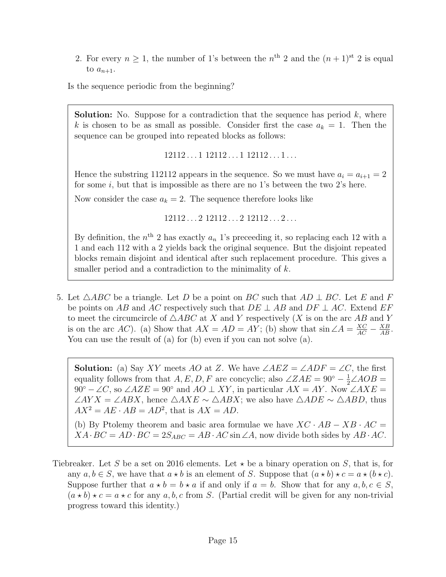2. For every  $n \geq 1$ , the number of 1's between the  $n^{\text{th}}$  2 and the  $(n+1)^{\text{st}}$  2 is equal to  $a_{n+1}$ .

Is the sequence periodic from the beginning?

**Solution:** No. Suppose for a contradiction that the sequence has period  $k$ , where k is chosen to be as small as possible. Consider first the case  $a_k = 1$ . Then the sequence can be grouped into repeated blocks as follows:

 $12112...112112...112112...1...$ 

Hence the substring 112112 appears in the sequence. So we must have  $a_i = a_{i+1} = 2$ for some  $i$ , but that is impossible as there are no 1's between the two 2's here.

Now consider the case  $a_k = 2$ . The sequence therefore looks like

 $12112...212112...212112...2...$ 

By definition, the  $n<sup>th</sup>$  2 has exactly  $a_n$  1's preceeding it, so replacing each 12 with a 1 and each 112 with a 2 yields back the original sequence. But the disjoint repeated blocks remain disjoint and identical after such replacement procedure. This gives a smaller period and a contradiction to the minimality of k.

5. Let  $\triangle ABC$  be a triangle. Let D be a point on BC such that  $AD \perp BC$ . Let E and F be points on AB and AC respectively such that  $DE \perp AB$  and  $DF \perp AC$ . Extend EF to meet the circumcircle of  $\triangle ABC$  at X and Y respectively (X is on the arc AB and Y is on the arc AC). (a) Show that  $AX = AD = AY$ ; (b) show that  $\sin \angle A = \frac{XC}{AC} - \frac{XB}{AB}$ . You can use the result of (a) for (b) even if you can not solve (a).

**Solution:** (a) Say XY meets AO at Z. We have  $\angle AEZ = \angle ADF = \angle C$ , the first equality follows from that  $A, E, D, F$  are concyclic; also  $\angle ZAE = 90^{\circ} - \frac{1}{2} \angle AOB =$  $90^{\circ} - \angle C$ , so  $\angle AZE = 90^{\circ}$  and  $AO \perp XY$ , in particular  $AX = AY$ . Now  $\angle AXE =$  $\angle AYX = \angle ABX$ , hence  $\triangle AXE \sim \triangle ABX$ ; we also have  $\triangle ADE \sim \triangle ABD$ , thus  $AX^2 = AE \cdot AB = AD^2$ , that is  $AX = AD$ .

(b) By Ptolemy theorem and basic area formulae we have  $XC \cdot AB - XB \cdot AC =$  $XA \cdot BC = AD \cdot BC = 2S_{ABC} = AB \cdot AC \sin \angle A$ , now divide both sides by  $AB \cdot AC$ .

Tiebreaker. Let S be a set on 2016 elements. Let  $\star$  be a binary operation on S, that is, for any  $a, b \in S$ , we have that  $a * b$  is an element of S. Suppose that  $(a * b) * c = a * (b * c)$ . Suppose further that  $a \star b = b \star a$  if and only if  $a = b$ . Show that for any  $a, b, c \in S$ ,  $(a * b) * c = a * c$  for any a, b, c from S. (Partial credit will be given for any non-trivial progress toward this identity.)